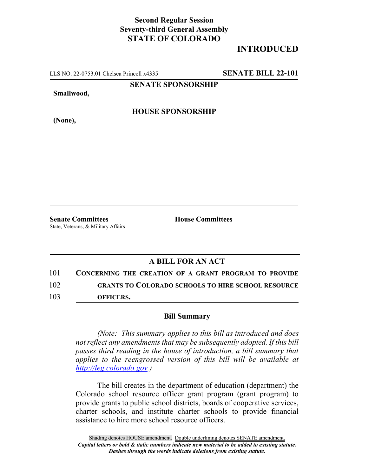## **Second Regular Session Seventy-third General Assembly STATE OF COLORADO**

## **INTRODUCED**

LLS NO. 22-0753.01 Chelsea Princell x4335 **SENATE BILL 22-101**

**SENATE SPONSORSHIP**

**Smallwood,**

**HOUSE SPONSORSHIP**

**(None),**

**Senate Committees House Committees** State, Veterans, & Military Affairs

## **A BILL FOR AN ACT**

101 **CONCERNING THE CREATION OF A GRANT PROGRAM TO PROVIDE** 102 **GRANTS TO COLORADO SCHOOLS TO HIRE SCHOOL RESOURCE** 103 **OFFICERS.**

## **Bill Summary**

*(Note: This summary applies to this bill as introduced and does not reflect any amendments that may be subsequently adopted. If this bill passes third reading in the house of introduction, a bill summary that applies to the reengrossed version of this bill will be available at http://leg.colorado.gov.)*

The bill creates in the department of education (department) the Colorado school resource officer grant program (grant program) to provide grants to public school districts, boards of cooperative services, charter schools, and institute charter schools to provide financial assistance to hire more school resource officers.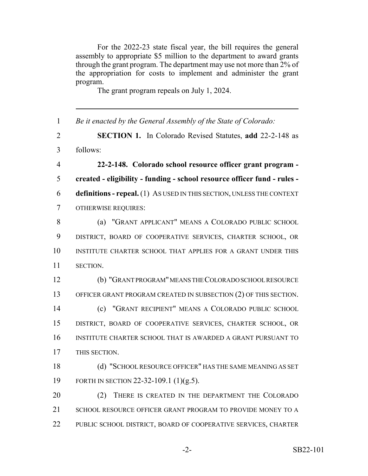For the 2022-23 state fiscal year, the bill requires the general assembly to appropriate \$5 million to the department to award grants through the grant program. The department may use not more than 2% of the appropriation for costs to implement and administer the grant program.

The grant program repeals on July 1, 2024.

| $\mathbf{1}$   | Be it enacted by the General Assembly of the State of Colorado:          |
|----------------|--------------------------------------------------------------------------|
| $\overline{2}$ | <b>SECTION 1.</b> In Colorado Revised Statutes, add 22-2-148 as          |
| $\overline{3}$ | follows:                                                                 |
| $\overline{4}$ | 22-2-148. Colorado school resource officer grant program -               |
| 5              | created - eligibility - funding - school resource officer fund - rules - |
| 6              | definitions - repeal. (1) As USED IN THIS SECTION, UNLESS THE CONTEXT    |
| $\overline{7}$ | <b>OTHERWISE REQUIRES:</b>                                               |
| 8              | (a) "GRANT APPLICANT" MEANS A COLORADO PUBLIC SCHOOL                     |
| 9              | DISTRICT, BOARD OF COOPERATIVE SERVICES, CHARTER SCHOOL, OR              |
| 10             | INSTITUTE CHARTER SCHOOL THAT APPLIES FOR A GRANT UNDER THIS             |
| 11             | SECTION.                                                                 |
| 12             | (b) "GRANT PROGRAM" MEANS THE COLORADO SCHOOL RESOURCE                   |
| 13             | OFFICER GRANT PROGRAM CREATED IN SUBSECTION (2) OF THIS SECTION.         |
| 14             | (c) "GRANT RECIPIENT" MEANS A COLORADO PUBLIC SCHOOL                     |
| 15             | DISTRICT, BOARD OF COOPERATIVE SERVICES, CHARTER SCHOOL, OR              |
| 16             | INSTITUTE CHARTER SCHOOL THAT IS AWARDED A GRANT PURSUANT TO             |
| 17             | THIS SECTION.                                                            |
| 18             | (d) "SCHOOL RESOURCE OFFICER" HAS THE SAME MEANING AS SET                |
| 19             | FORTH IN SECTION 22-32-109.1 (1)(g.5).                                   |
| 20             | THERE IS CREATED IN THE DEPARTMENT THE COLORADO<br>(2)                   |
| 21             | SCHOOL RESOURCE OFFICER GRANT PROGRAM TO PROVIDE MONEY TO A              |
| 22             | PUBLIC SCHOOL DISTRICT, BOARD OF COOPERATIVE SERVICES, CHARTER           |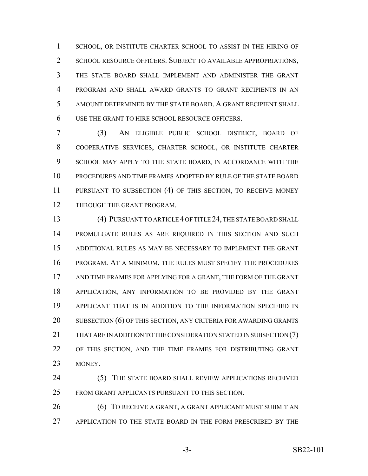SCHOOL, OR INSTITUTE CHARTER SCHOOL TO ASSIST IN THE HIRING OF 2 SCHOOL RESOURCE OFFICERS. SUBJECT TO AVAILABLE APPROPRIATIONS, THE STATE BOARD SHALL IMPLEMENT AND ADMINISTER THE GRANT PROGRAM AND SHALL AWARD GRANTS TO GRANT RECIPIENTS IN AN AMOUNT DETERMINED BY THE STATE BOARD. A GRANT RECIPIENT SHALL USE THE GRANT TO HIRE SCHOOL RESOURCE OFFICERS.

 (3) AN ELIGIBLE PUBLIC SCHOOL DISTRICT, BOARD OF COOPERATIVE SERVICES, CHARTER SCHOOL, OR INSTITUTE CHARTER SCHOOL MAY APPLY TO THE STATE BOARD, IN ACCORDANCE WITH THE PROCEDURES AND TIME FRAMES ADOPTED BY RULE OF THE STATE BOARD PURSUANT TO SUBSECTION (4) OF THIS SECTION, TO RECEIVE MONEY THROUGH THE GRANT PROGRAM.

 (4) PURSUANT TO ARTICLE 4 OF TITLE 24, THE STATE BOARD SHALL PROMULGATE RULES AS ARE REQUIRED IN THIS SECTION AND SUCH ADDITIONAL RULES AS MAY BE NECESSARY TO IMPLEMENT THE GRANT PROGRAM. AT A MINIMUM, THE RULES MUST SPECIFY THE PROCEDURES AND TIME FRAMES FOR APPLYING FOR A GRANT, THE FORM OF THE GRANT APPLICATION, ANY INFORMATION TO BE PROVIDED BY THE GRANT APPLICANT THAT IS IN ADDITION TO THE INFORMATION SPECIFIED IN 20 SUBSECTION (6) OF THIS SECTION, ANY CRITERIA FOR AWARDING GRANTS THAT ARE IN ADDITION TO THE CONSIDERATION STATED IN SUBSECTION (7) OF THIS SECTION, AND THE TIME FRAMES FOR DISTRIBUTING GRANT MONEY.

 (5) THE STATE BOARD SHALL REVIEW APPLICATIONS RECEIVED FROM GRANT APPLICANTS PURSUANT TO THIS SECTION.

**(6) TO RECEIVE A GRANT, A GRANT APPLICANT MUST SUBMIT AN** APPLICATION TO THE STATE BOARD IN THE FORM PRESCRIBED BY THE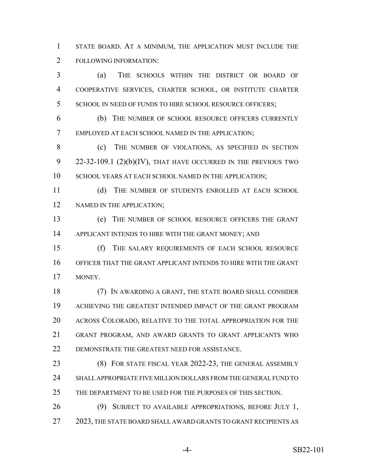STATE BOARD. AT A MINIMUM, THE APPLICATION MUST INCLUDE THE FOLLOWING INFORMATION:

 (a) THE SCHOOLS WITHIN THE DISTRICT OR BOARD OF COOPERATIVE SERVICES, CHARTER SCHOOL, OR INSTITUTE CHARTER 5 SCHOOL IN NEED OF FUNDS TO HIRE SCHOOL RESOURCE OFFICERS;

 (b) THE NUMBER OF SCHOOL RESOURCE OFFICERS CURRENTLY EMPLOYED AT EACH SCHOOL NAMED IN THE APPLICATION;

8 (c) THE NUMBER OF VIOLATIONS, AS SPECIFIED IN SECTION 22-32-109.1 (2)(b)(IV), THAT HAVE OCCURRED IN THE PREVIOUS TWO 10 SCHOOL YEARS AT EACH SCHOOL NAMED IN THE APPLICATION;

11 (d) THE NUMBER OF STUDENTS ENROLLED AT EACH SCHOOL 12 NAMED IN THE APPLICATION;

 (e) THE NUMBER OF SCHOOL RESOURCE OFFICERS THE GRANT 14 APPLICANT INTENDS TO HIRE WITH THE GRANT MONEY; AND

 (f) THE SALARY REQUIREMENTS OF EACH SCHOOL RESOURCE OFFICER THAT THE GRANT APPLICANT INTENDS TO HIRE WITH THE GRANT MONEY.

 (7) IN AWARDING A GRANT, THE STATE BOARD SHALL CONSIDER ACHIEVING THE GREATEST INTENDED IMPACT OF THE GRANT PROGRAM ACROSS COLORADO, RELATIVE TO THE TOTAL APPROPRIATION FOR THE GRANT PROGRAM, AND AWARD GRANTS TO GRANT APPLICANTS WHO DEMONSTRATE THE GREATEST NEED FOR ASSISTANCE.

 (8) FOR STATE FISCAL YEAR 2022-23, THE GENERAL ASSEMBLY SHALL APPROPRIATE FIVE MILLION DOLLARS FROM THE GENERAL FUND TO THE DEPARTMENT TO BE USED FOR THE PURPOSES OF THIS SECTION.

 (9) SUBJECT TO AVAILABLE APPROPRIATIONS, BEFORE JULY 1, 27 2023, THE STATE BOARD SHALL AWARD GRANTS TO GRANT RECIPIENTS AS